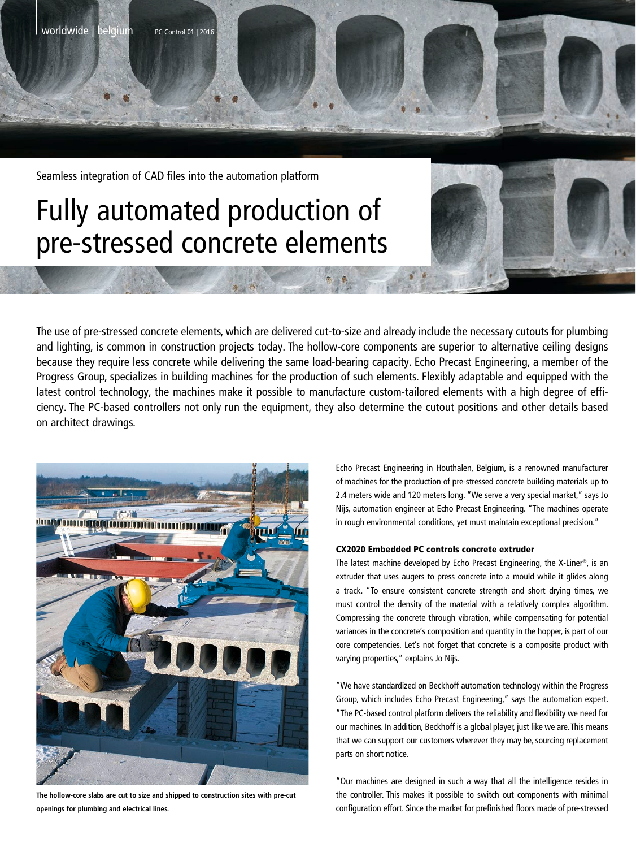Seamless integration of CAD files into the automation platform

| worldwide | belgium PC Control <sup>01</sup> <sup>|</sup> <sup>2016</sup>

# Fully automated production of pre-stressed concrete elements

The use of pre-stressed concrete elements, which are delivered cut-to-size and already include the necessary cutouts for plumbing and lighting, is common in construction projects today. The hollow-core components are superior to alternative ceiling designs because they require less concrete while delivering the same load-bearing capacity. Echo Precast Engineering, a member of the Progress Group, specializes in building machines for the production of such elements. Flexibly adaptable and equipped with the latest control technology, the machines make it possible to manufacture custom-tailored elements with a high degree of efficiency. The PC-based controllers not only run the equipment, they also determine the cutout positions and other details based on architect drawings.



**The hollow-core slabs are cut to size and shipped to construction sites with pre-cut openings for plumbing and electrical lines.**

Echo Precast Engineering in Houthalen, Belgium, is a renowned manufacturer of machines for the production of pre-stressed concrete building materials up to 2.4 meters wide and 120 meters long. "We serve a very special market," says Jo Nijs, automation engineer at Echo Precast Engineering. "The machines operate in rough environmental conditions, yet must maintain exceptional precision."

### CX2020 Embedded PC controls concrete extruder

The latest machine developed by Echo Precast Engineering, the X-Liner®, is an extruder that uses augers to press concrete into a mould while it glides along a track. "To ensure consistent concrete strength and short drying times, we must control the density of the material with a relatively complex algorithm. Compressing the concrete through vibration, while compensating for potential variances in the concrete's composition and quantity in the hopper, is part of our core competencies. Let's not forget that concrete is a composite product with varying properties," explains Jo Nijs.

"We have standardized on Beckhoff automation technology within the Progress Group, which includes Echo Precast Engineering," says the automation expert. "The PC-based control platform delivers the reliability and flexibility we need for our machines. In addition, Beckhoff is a global player, just like we are. This means that we can support our customers wherever they may be, sourcing replacement parts on short notice.

"Our machines are designed in such a way that all the intelligence resides in the controller. This makes it possible to switch out components with minimal configuration effort. Since the market for prefinished floors made of pre-stressed